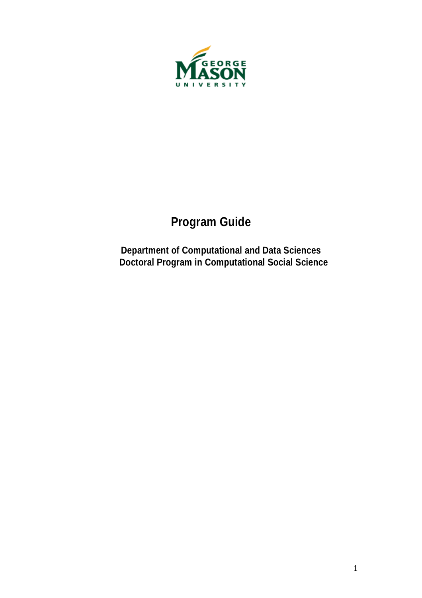

# **Program Guide**

**Department of Computational and Data Sciences Doctoral Program in Computational Social Science**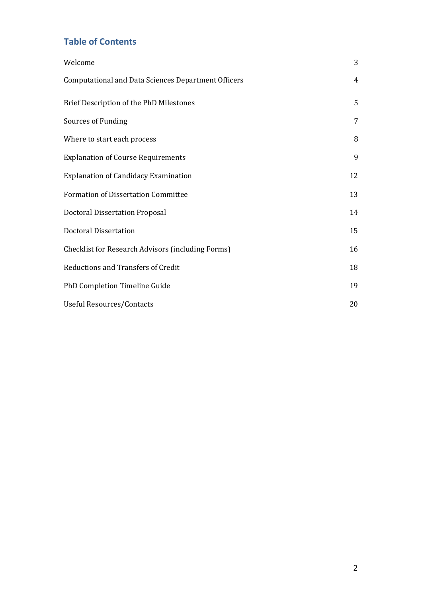### **Table of Contents**

| Welcome                                                    | 3  |
|------------------------------------------------------------|----|
| <b>Computational and Data Sciences Department Officers</b> | 4  |
| Brief Description of the PhD Milestones                    | 5  |
| Sources of Funding                                         | 7  |
| Where to start each process                                | 8  |
| <b>Explanation of Course Requirements</b>                  | 9  |
| <b>Explanation of Candidacy Examination</b>                | 12 |
| <b>Formation of Dissertation Committee</b>                 | 13 |
| <b>Doctoral Dissertation Proposal</b>                      | 14 |
| <b>Doctoral Dissertation</b>                               | 15 |
| <b>Checklist for Research Advisors (including Forms)</b>   | 16 |
| <b>Reductions and Transfers of Credit</b>                  | 18 |
| PhD Completion Timeline Guide                              | 19 |
| <b>Useful Resources/Contacts</b>                           | 20 |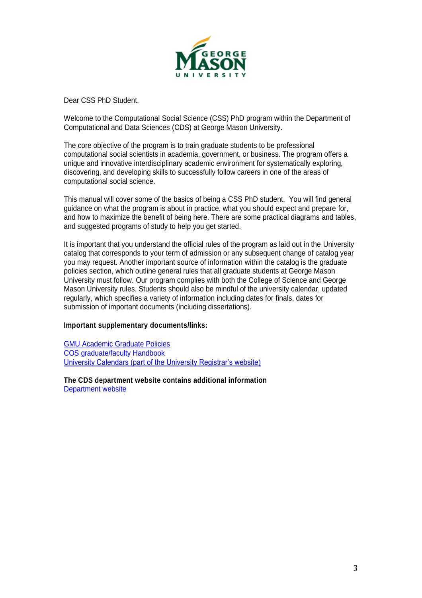

Dear CSS PhD Student,

Welcome to the Computational Social Science (CSS) PhD program within the Department of Computational and Data Sciences (CDS) at George Mason University.

The core objective of the program is to train graduate students to be professional computational social scientists in academia, government, or business. The program offers a unique and innovative interdisciplinary academic environment for systematically exploring, discovering, and developing skills to successfully follow careers in one of the areas of computational social science.

This manual will cover some of the basics of being a CSS PhD student. You will find general guidance on what the program is about in practice, what you should expect and prepare for, and how to maximize the benefit of being here. There are some practical diagrams and tables, and suggested programs of study to help you get started.

It is important that you understand the official rules of the program as laid out in the University catalog that corresponds to your term of admission or any subsequent change of catalog year you may request. Another important source of information within the catalog is the graduate policies section, which outline general rules that all graduate students at George Mason University must follow. Our program complies with both the College of Science and George Mason University rules. Students should also be mindful of the university calendar, updated regularly, which specifies a variety of information including dates for finals, dates for submission of important documents (including dissertations).

#### **Important supplementary documents/links:**

GMU Academic Graduate Policies COS graduate/faculty Handbook University Calendars (part of the University Registrar's website)

**The CDS department website contains additional information** Department website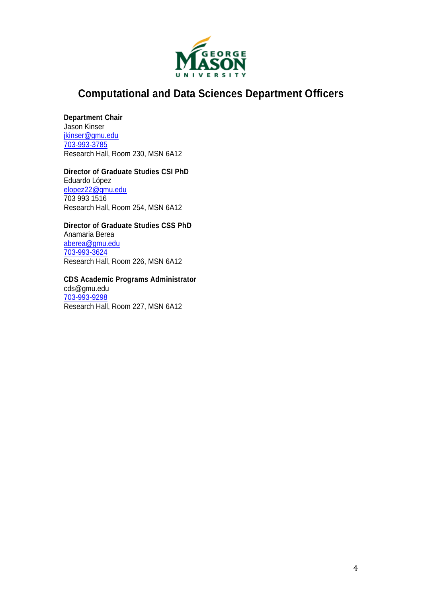

### **Computational and Data Sciences Department Officers**

#### **Department Chair**

Jason Kinser jkinser@gmu.edu 703-993-3785 Research Hall, Room 230, MSN 6A12

#### **Director of Graduate Studies CSI PhD**

Eduardo López elopez22@gmu.edu 703 993 1516 Research Hall, Room 254, MSN 6A12

#### **Director of Graduate Studies CSS PhD**

Anamaria Berea aberea@gmu.edu 703-993-3624 Research Hall, Room 226, MSN 6A12

### **CDS Academic Programs Administrator**

cds@gmu.edu 703-993-9298 Research Hall, Room 227, MSN 6A12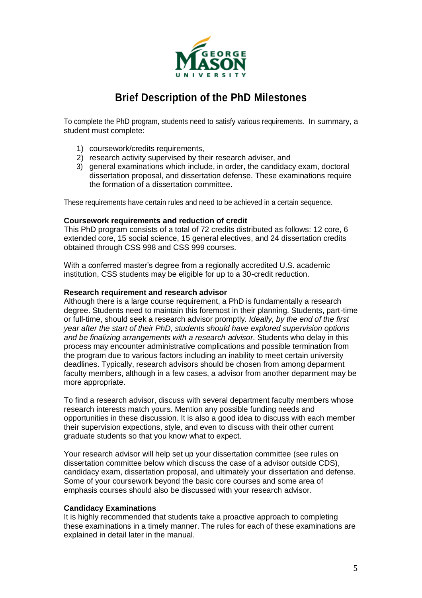

## **Brief Description of the PhD Milestones**

To complete the PhD program, students need to satisfy various requirements. In summary, a student must complete:

- 1) coursework/credits requirements,
- 2) research activity supervised by their research adviser, and
- 3) general examinations which include, in order, the candidacy exam, doctoral dissertation proposal, and dissertation defense. These examinations require the formation of a dissertation committee.

These requirements have certain rules and need to be achieved in a certain sequence.

#### **Coursework requirements and reduction of credit**

This PhD program consists of a total of 72 credits distributed as follows: 12 core, 6 extended core, 15 social science, 15 general electives, and 24 dissertation credits obtained through CSS 998 and CSS 999 courses.

With a conferred master's degree from a regionally accredited U.S. academic institution, CSS students may be eligible for up to a 30-credit reduction.

#### **Research requirement and research advisor**

Although there is a large course requirement, a PhD is fundamentally a research degree. Students need to maintain this foremost in their planning. Students, part-time or full-time, should seek a research advisor promptly*. Ideally, by the end of the first year after the start of their PhD, students should have explored supervision options and be finalizing arrangements with a research advisor.* Students who delay in this process may encounter administrative complications and possible termination from the program due to various factors including an inability to meet certain university deadlines. Typically, research advisors should be chosen from among deparment faculty members, although in a few cases, a advisor from another deparment may be more appropriate.

To find a research advisor, discuss with several department faculty members whose research interests match yours. Mention any possible funding needs and opportunities in these discussion. It is also a good idea to discuss with each member their supervision expections, style, and even to discuss with their other current graduate students so that you know what to expect.

Your research advisor will help set up your dissertation committee (see rules on dissertation committee below which discuss the case of a advisor outside CDS), candidacy exam, dissertation proposal, and ultimately your dissertation and defense. Some of your coursework beyond the basic core courses and some area of emphasis courses should also be discussed with your research advisor.

#### **Candidacy Examinations**

It is highly recommended that students take a proactive approach to completing these examinations in a timely manner. The rules for each of these examinations are explained in detail later in the manual.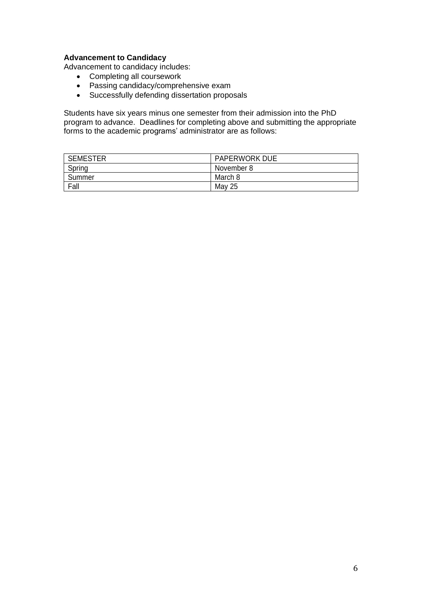#### **Advancement to Candidacy**

Advancement to candidacy includes:

- Completing all coursework
- Passing candidacy/comprehensive exam
- Successfully defending dissertation proposals

Students have six years minus one semester from their admission into the PhD program to advance. Deadlines for completing above and submitting the appropriate forms to the academic programs' administrator are as follows:

| <b>SEMESTER</b> | <b>PAPERWORK DUE</b> |
|-----------------|----------------------|
| Spring          | November 8           |
| Summer          | March 8              |
| Fall            | May 25               |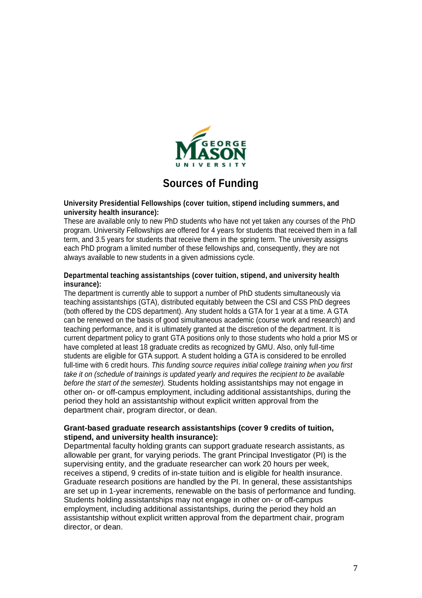

### **Sources of Funding**

#### **University Presidential Fellowships (cover tuition, stipend including summers, and university health insurance):**

These are available only to new PhD students who have not yet taken any courses of the PhD program. University Fellowships are offered for 4 years for students that received them in a fall term, and 3.5 years for students that receive them in the spring term. The university assigns each PhD program a limited number of these fellowships and, consequently, they are not always available to new students in a given admissions cycle.

#### **Departmental teaching assistantships (cover tuition, stipend, and university health insurance):**

The department is currently able to support a number of PhD students simultaneously via teaching assistantships (GTA), distributed equitably between the CSI and CSS PhD degrees (both offered by the CDS department). Any student holds a GTA for 1 year at a time. A GTA can be renewed on the basis of good simultaneous academic (course work and research) and teaching performance, and it is ultimately granted at the discretion of the department. It is current department policy to grant GTA positions only to those students who hold a prior MS or have completed at least 18 graduate credits as recognized by GMU. Also, only full-time students are eligible for GTA support. A student holding a GTA is considered to be enrolled full-time with 6 credit hours. *This funding source requires initial college training when you first take it on (schedule of trainings is updated yearly and requires the recipient to be available before the start of the semester).* Students holding assistantships may not engage in other on- or off-campus employment, including additional assistantships, during the period they hold an assistantship without explicit written approval from the department chair, program director, or dean.

#### **Grant-based graduate research assistantships (cover 9 credits of tuition, stipend, and university health insurance):**

Departmental faculty holding grants can support graduate research assistants, as allowable per grant, for varying periods. The grant Principal Investigator (PI) is the supervising entity, and the graduate researcher can work 20 hours per week, receives a stipend, 9 credits of in-state tuition and is eligible for health insurance. Graduate research positions are handled by the PI. In general, these assistantships are set up in 1-year increments, renewable on the basis of performance and funding. Students holding assistantships may not engage in other on- or off-campus employment, including additional assistantships, during the period they hold an assistantship without explicit written approval from the department chair, program director, or dean.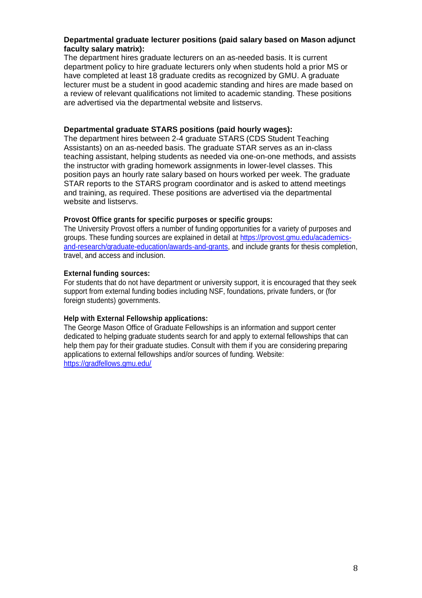#### **Departmental graduate lecturer positions (paid salary based on Mason adjunct faculty salary matrix):**

The department hires graduate lecturers on an as-needed basis. It is current department policy to hire graduate lecturers only when students hold a prior MS or have completed at least 18 graduate credits as recognized by GMU. A graduate lecturer must be a student in good academic standing and hires are made based on a review of relevant qualifications not limited to academic standing. These positions are advertised via the departmental website and listservs.

#### **Departmental graduate STARS positions (paid hourly wages):**

The department hires between 2-4 graduate STARS (CDS Student Teaching Assistants) on an as-needed basis. The graduate STAR serves as an in-class teaching assistant, helping students as needed via one-on-one methods, and assists the instructor with grading homework assignments in lower-level classes. This position pays an hourly rate salary based on hours worked per week. The graduate STAR reports to the STARS program coordinator and is asked to attend meetings and training, as required. These positions are advertised via the departmental website and listservs.

#### **Provost Office grants for specific purposes or specific groups:**

The University Provost offers a number of funding opportunities for a variety of purposes and groups. These funding sources are explained in detail at https://provost.gmu.edu/academicsand-research/graduate-education/awards-and-grants, and include grants for thesis completion, travel, and access and inclusion.

#### **External funding sources:**

For students that do not have department or university support, it is encouraged that they seek support from external funding bodies including NSF, foundations, private funders, or (for foreign students) governments.

#### **Help with External Fellowship applications:**

The George Mason Office of Graduate Fellowships is an information and support center dedicated to helping graduate students search for and apply to external fellowships that can help them pay for their graduate studies. Consult with them if you are considering preparing applications to external fellowships and/or sources of funding. Website: https://gradfellows.gmu.edu/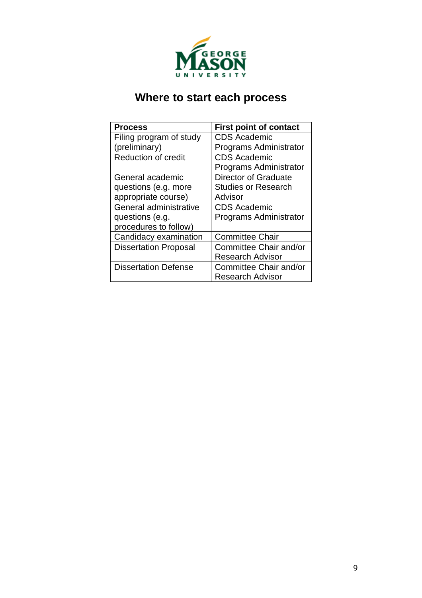

## **Where to start each process**

| <b>Process</b>               | <b>First point of contact</b> |  |  |
|------------------------------|-------------------------------|--|--|
| Filing program of study      | <b>CDS Academic</b>           |  |  |
| (preliminary)                | Programs Administrator        |  |  |
| <b>Reduction of credit</b>   | <b>CDS Academic</b>           |  |  |
|                              | Programs Administrator        |  |  |
| General academic             | Director of Graduate          |  |  |
| questions (e.g. more         | <b>Studies or Research</b>    |  |  |
| appropriate course)          | Advisor                       |  |  |
| General administrative       | <b>CDS Academic</b>           |  |  |
| questions (e.g.              | Programs Administrator        |  |  |
| procedures to follow)        |                               |  |  |
| Candidacy examination        | <b>Committee Chair</b>        |  |  |
| <b>Dissertation Proposal</b> | Committee Chair and/or        |  |  |
|                              | <b>Research Advisor</b>       |  |  |
| <b>Dissertation Defense</b>  | <b>Committee Chair and/or</b> |  |  |
|                              | <b>Research Advisor</b>       |  |  |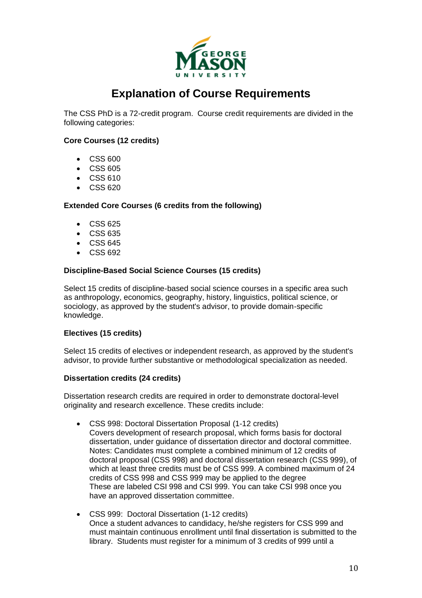

### **Explanation of Course Requirements**

The CSS PhD is a 72-credit program. Course credit requirements are divided in the following categories:

#### **Core Courses (12 credits)**

- CSS 600
- CSS 605
- CSS 610
- CSS 620

#### **Extended Core Courses (6 credits from the following)**

- CSS 625
- CSS 635
- CSS 645
- CSS 692

#### **Discipline-Based Social Science Courses (15 credits)**

Select 15 credits of discipline-based social science courses in a specific area such as anthropology, economics, geography, history, linguistics, political science, or sociology, as approved by the student's advisor, to provide domain-specific knowledge.

#### **Electives (15 credits)**

Select 15 credits of electives or independent research, as approved by the student's advisor, to provide further substantive or methodological specialization as needed.

#### **Dissertation credits (24 credits)**

Dissertation research credits are required in order to demonstrate doctoral-level originality and research excellence. These credits include:

- CSS 998: Doctoral Dissertation Proposal (1-12 credits)
	- Covers development of research proposal, which forms basis for doctoral dissertation, under guidance of dissertation director and doctoral committee. Notes: Candidates must complete a combined minimum of 12 credits of doctoral proposal (CSS 998) and doctoral dissertation research (CSS 999), of which at least three credits must be of CSS 999. A combined maximum of 24 credits of CSS 998 and CSS 999 may be applied to the degree These are labeled CSI 998 and CSI 999. You can take CSI 998 once you have an approved dissertation committee.
- CSS 999: Doctoral Dissertation (1-12 credits) Once a student advances to candidacy, he/she registers for CSS 999 and must maintain continuous enrollment until final dissertation is submitted to the library. Students must register for a minimum of 3 credits of 999 until a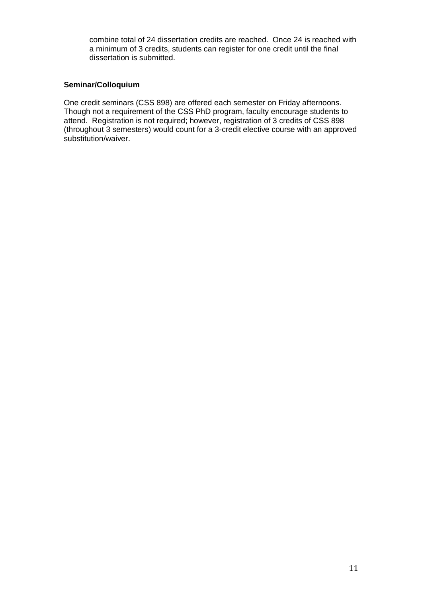combine total of 24 dissertation credits are reached. Once 24 is reached with a minimum of 3 credits, students can register for one credit until the final dissertation is submitted.

#### **Seminar/Colloquium**

One credit seminars (CSS 898) are offered each semester on Friday afternoons. Though not a requirement of the CSS PhD program, faculty encourage students to attend. Registration is not required; however, registration of 3 credits of CSS 898 (throughout 3 semesters) would count for a 3-credit elective course with an approved substitution/waiver.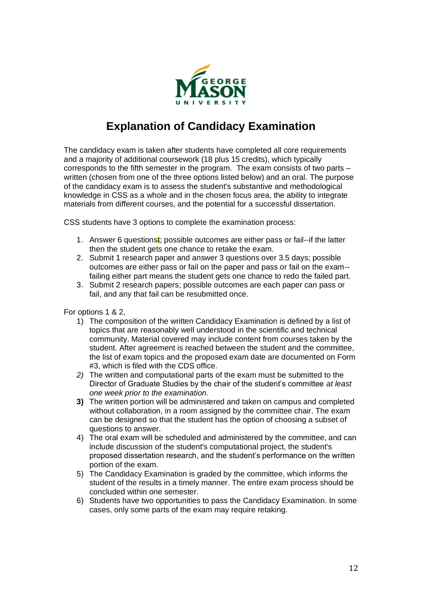

## **Explanation of Candidacy Examination**

The candidacy exam is taken after students have completed all core requirements and a majority of additional coursework (18 plus 15 credits), which typically corresponds to the fifth semester in the program. The exam consists of two parts – written (chosen from one of the three options listed below) and an oral. The purpose of the candidacy exam is to assess the student's substantive and methodological knowledge in CSS as a whole and in the chosen focus area, the ability to integrate materials from different courses, and the potential for a successful dissertation.

CSS students have 3 options to complete the examination process:

- 1. Answer 6 questions $\mathbf{t}$ ; possible outcomes are either pass or fail--if the latter then the student gets one chance to retake the exam.
- 2. Submit 1 research paper and answer 3 questions over 3.5 days; possible outcomes are either pass or fail on the paper and pass or fail on the exam- failing either part means the student gets one chance to redo the failed part.
- 3. Submit 2 research papers; possible outcomes are each paper can pass or fail, and any that fail can be resubmitted once.

For options 1 & 2,

- 1) The composition of the written Candidacy Examination is defined by a list of topics that are reasonably well understood in the scientific and technical community. Material covered may include content from courses taken by the student. After agreement is reached between the student and the committee, the list of exam topics and the proposed exam date are documented on Form #3, which is filed with the CDS office.
- *2)* The written and computational parts of the exam must be submitted to the Director of Graduate Studies by the chair of the student's committee *at least one week prior to the examination.*
- **3)** The written portion will be administered and taken on campus and completed without collaboration, in a room assigned by the committee chair. The exam can be designed so that the student has the option of choosing a subset of questions to answer.
- 4) The oral exam will be scheduled and administered by the committee, and can include discussion of the student's computational project, the student's proposed dissertation research, and the student's performance on the written portion of the exam.
- 5) The Candidacy Examination is graded by the committee, which informs the student of the results in a timely manner. The entire exam process should be concluded within one semester.
- 6) Students have two opportunities to pass the Candidacy Examination. In some cases, only some parts of the exam may require retaking.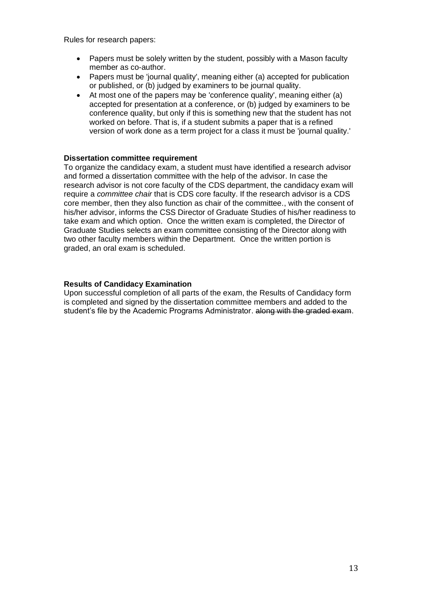Rules for research papers:

- Papers must be solely written by the student, possibly with a Mason faculty member as co-author.
- Papers must be 'journal quality', meaning either (a) accepted for publication or published, or (b) judged by examiners to be journal quality.
- At most one of the papers may be 'conference quality', meaning either (a) accepted for presentation at a conference, or (b) judged by examiners to be conference quality, but only if this is something new that the student has not worked on before. That is, if a student submits a paper that is a refined version of work done as a term project for a class it must be 'journal quality.'

#### **Dissertation committee requirement**

To organize the candidacy exam, a student must have identified a research advisor and formed a dissertation committee with the help of the advisor. In case the research advisor is not core faculty of the CDS department, the candidacy exam will require a *committee chair* that is CDS core faculty. If the research advisor is a CDS core member, then they also function as chair of the committee., with the consent of his/her advisor, informs the CSS Director of Graduate Studies of his/her readiness to take exam and which option. Once the written exam is completed, the Director of Graduate Studies selects an exam committee consisting of the Director along with two other faculty members within the Department. Once the written portion is graded, an oral exam is scheduled.

#### **Results of Candidacy Examination**

Upon successful completion of all parts of the exam, the Results of Candidacy form is completed and signed by the dissertation committee members and added to the student's file by the Academic Programs Administrator. along with the graded exam.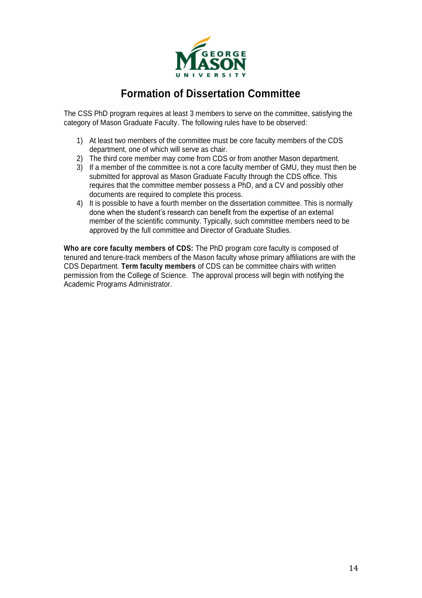

### **Formation of Dissertation Committee**

The CSS PhD program requires at least 3 members to serve on the committee, satisfying the category of Mason Graduate Faculty. The following rules have to be observed:

- 1) At least two members of the committee must be core faculty members of the CDS department, one of which will serve as chair.
- 2) The third core member may come from CDS or from another Mason department.
- 3) If a member of the committee is not a core faculty member of GMU, they must then be submitted for approval as Mason Graduate Faculty through the CDS office. This requires that the committee member possess a PhD, and a CV and possibly other documents are required to complete this process.
- 4) It is possible to have a fourth member on the dissertation committee. This is normally done when the student's research can benefit from the expertise of an external member of the scientific community. Typically, such committee members need to be approved by the full committee and Director of Graduate Studies.

**Who are core faculty members of CDS:** The PhD program core faculty is composed of tenured and tenure-track members of the Mason faculty whose primary affiliations are with the CDS Department. **Term faculty members** of CDS can be committee chairs with written permission from the College of Science. The approval process will begin with notifying the Academic Programs Administrator.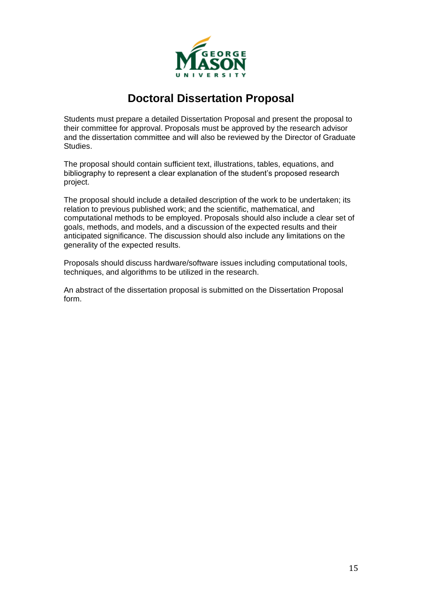

### **Doctoral Dissertation Proposal**

Students must prepare a detailed Dissertation Proposal and present the proposal to their committee for approval. Proposals must be approved by the research advisor and the dissertation committee and will also be reviewed by the Director of Graduate Studies.

The proposal should contain sufficient text, illustrations, tables, equations, and bibliography to represent a clear explanation of the student's proposed research project.

The proposal should include a detailed description of the work to be undertaken; its relation to previous published work; and the scientific, mathematical, and computational methods to be employed. Proposals should also include a clear set of goals, methods, and models, and a discussion of the expected results and their anticipated significance. The discussion should also include any limitations on the generality of the expected results.

Proposals should discuss hardware/software issues including computational tools, techniques, and algorithms to be utilized in the research.

An abstract of the dissertation proposal is submitted on the Dissertation Proposal form.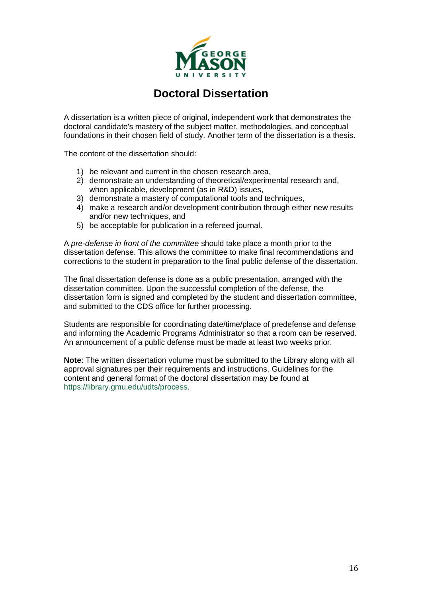

### **Doctoral Dissertation**

A dissertation is a written piece of original, independent work that demonstrates the doctoral candidate's mastery of the subject matter, methodologies, and conceptual foundations in their chosen field of study. Another term of the dissertation is a thesis.

The content of the dissertation should:

- 1) be relevant and current in the chosen research area,
- 2) demonstrate an understanding of theoretical/experimental research and, when applicable, development (as in R&D) issues,
- 3) demonstrate a mastery of computational tools and techniques,
- 4) make a research and/or development contribution through either new results and/or new techniques, and
- 5) be acceptable for publication in a refereed journal.

A *pre-defense in front of the committee* should take place a month prior to the dissertation defense. This allows the committee to make final recommendations and corrections to the student in preparation to the final public defense of the dissertation.

The final dissertation defense is done as a public presentation, arranged with the dissertation committee. Upon the successful completion of the defense, the dissertation form is signed and completed by the student and dissertation committee, and submitted to the CDS office for further processing.

Students are responsible for coordinating date/time/place of predefense and defense and informing the Academic Programs Administrator so that a room can be reserved. An announcement of a public defense must be made at least two weeks prior.

**Note**: The written dissertation volume must be submitted to the Library along with all approval signatures per their requirements and instructions. Guidelines for the content and general format of the doctoral dissertation may be found at https://library.gmu.edu/udts/process.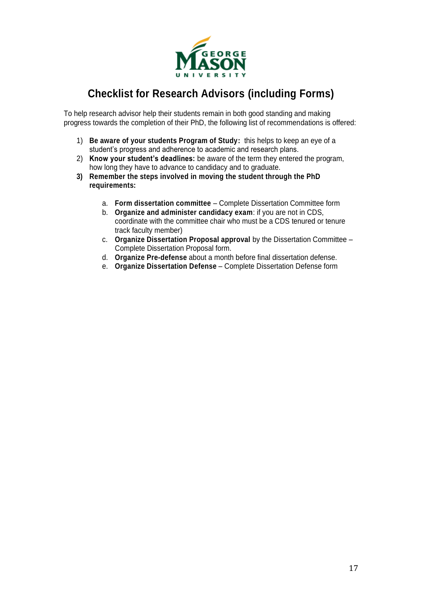

## **Checklist for Research Advisors (including Forms)**

To help research advisor help their students remain in both good standing and making progress towards the completion of their PhD, the following list of recommendations is offered:

- 1) **Be aware of your students Program of Study:** this helps to keep an eye of a student's progress and adherence to academic and research plans.
- 2) **Know your student's deadlines:** be aware of the term they entered the program, how long they have to advance to candidacy and to graduate.
- **3) Remember the steps involved in moving the student through the PhD requirements:**
	- a. **Form dissertation committee** Complete Dissertation Committee form
	- b. **Organize and administer candidacy exam**: if you are not in CDS, coordinate with the committee chair who must be a CDS tenured or tenure track faculty member)
	- c. **Organize Dissertation Proposal approval** by the Dissertation Committee Complete Dissertation Proposal form.
	- d. **Organize Pre-defense** about a month before final dissertation defense.
	- e. **Organize Dissertation Defense** Complete Dissertation Defense form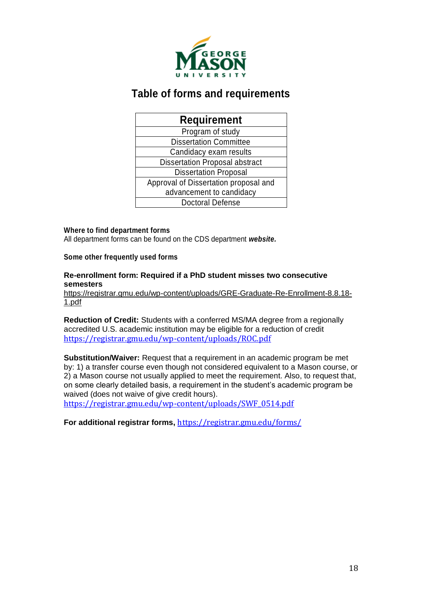

### **Table of forms and requirements**

| <b>Requirement</b>                    |  |  |  |  |
|---------------------------------------|--|--|--|--|
| Program of study                      |  |  |  |  |
| <b>Dissertation Committee</b>         |  |  |  |  |
| Candidacy exam results                |  |  |  |  |
| <b>Dissertation Proposal abstract</b> |  |  |  |  |
| <b>Dissertation Proposal</b>          |  |  |  |  |
| Approval of Dissertation proposal and |  |  |  |  |
| advancement to candidacy              |  |  |  |  |
| <b>Doctoral Defense</b>               |  |  |  |  |

#### **Where to find department forms**

All department forms can be found on the CDS department *website.*

#### **Some other frequently used forms**

#### **Re-enrollment form: Required if a PhD student misses two consecutive semesters**

https://registrar.gmu.edu/wp-content/uploads/GRE-Graduate-Re-Enrollment-8.8.18- 1.pdf

**Reduction of Credit:** Students with a conferred MS/MA degree from a regionally accredited U.S. academic institution may be eligible for a reduction of credit https://registrar.gmu.edu/wp-content/uploads/ROC.pdf

**Substitution/Waiver:** Request that a requirement in an academic program be met by: 1) a transfer course even though not considered equivalent to a Mason course, or 2) a Mason course not usually applied to meet the requirement. Also, to request that, on some clearly detailed basis, a requirement in the student's academic program be waived (does not waive of give credit hours).

https://registrar.gmu.edu/wp-content/uploads/SWF\_0514.pdf

**For additional registrar forms,** https://registrar.gmu.edu/forms/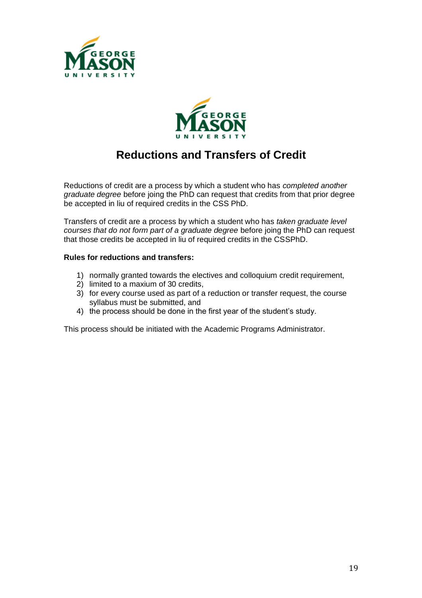



## **Reductions and Transfers of Credit**

Reductions of credit are a process by which a student who has *completed another graduate degree* before joing the PhD can request that credits from that prior degree be accepted in liu of required credits in the CSS PhD.

Transfers of credit are a process by which a student who has *taken graduate level courses that do not form part of a graduate degree* before joing the PhD can request that those credits be accepted in liu of required credits in the CSSPhD.

#### **Rules for reductions and transfers:**

- 1) normally granted towards the electives and colloquium credit requirement,
- 2) limited to a maxium of 30 credits,
- 3) for every course used as part of a reduction or transfer request, the course syllabus must be submitted, and
- 4) the process should be done in the first year of the student's study.

This process should be initiated with the Academic Programs Administrator.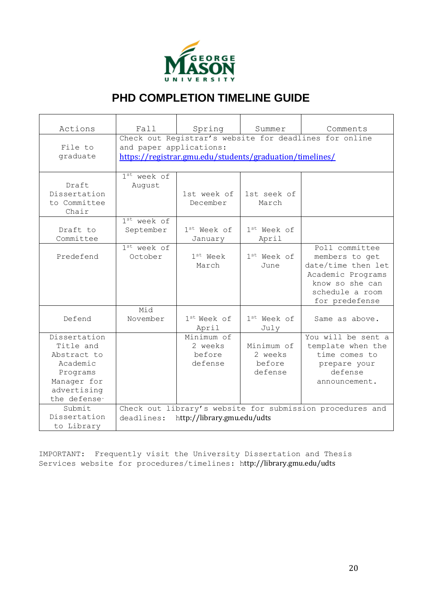

## **PHD COMPLETION TIMELINE GUIDE**

| Actions                                                                                                                    | Fall                                                                                                                                          | Spring                                     | Summer                                     | Comments                                                                                                                            |  |  |
|----------------------------------------------------------------------------------------------------------------------------|-----------------------------------------------------------------------------------------------------------------------------------------------|--------------------------------------------|--------------------------------------------|-------------------------------------------------------------------------------------------------------------------------------------|--|--|
| File to<br>graduate                                                                                                        | Check out Registrar's website for deadlines for online<br>and paper applications:<br>https://registrar.gmu.edu/students/graduation/timelines/ |                                            |                                            |                                                                                                                                     |  |  |
| Draft<br>Dissertation<br>to Committee<br>Chair                                                                             | 1 <sup>st</sup> week of<br>August                                                                                                             | 1st week of<br>December                    | 1st seek of<br>March                       |                                                                                                                                     |  |  |
| Draft to<br>Committee                                                                                                      | $1st$ week of<br>September                                                                                                                    | 1st Week of<br>January                     | $1st$ Week of<br>April                     |                                                                                                                                     |  |  |
| Predefend                                                                                                                  | 1 <sup>st</sup> week of<br>October                                                                                                            | $1^{st}$ Week<br>March                     | $1^{st}$ Week of<br>June                   | Poll committee<br>members to get<br>date/time then let<br>Academic Programs<br>know so she can<br>schedule a room<br>for predefense |  |  |
| Defend                                                                                                                     | Mid<br>November                                                                                                                               | $1st$ Week of<br>April                     | $1st$ Week of<br>July                      | Same as above.                                                                                                                      |  |  |
| Dissertation<br>Title and<br>Abstract to<br>Academic<br>Programs<br>Manager for<br>advertising<br>the defense <sup>.</sup> |                                                                                                                                               | Minimum of<br>2 weeks<br>before<br>defense | Minimum of<br>2 weeks<br>before<br>defense | You will be sent a<br>template when the<br>time comes to<br>prepare your<br>defense<br>announcement.                                |  |  |
| Submit<br>Dissertation<br>to Library                                                                                       | Check out library's website for submission procedures and<br>http://library.gmu.edu/udts<br>deadlines:                                        |                                            |                                            |                                                                                                                                     |  |  |

IMPORTANT: Frequently visit the University Dissertation and Thesis Services website for procedures/timelines: http://library.gmu.edu/udts